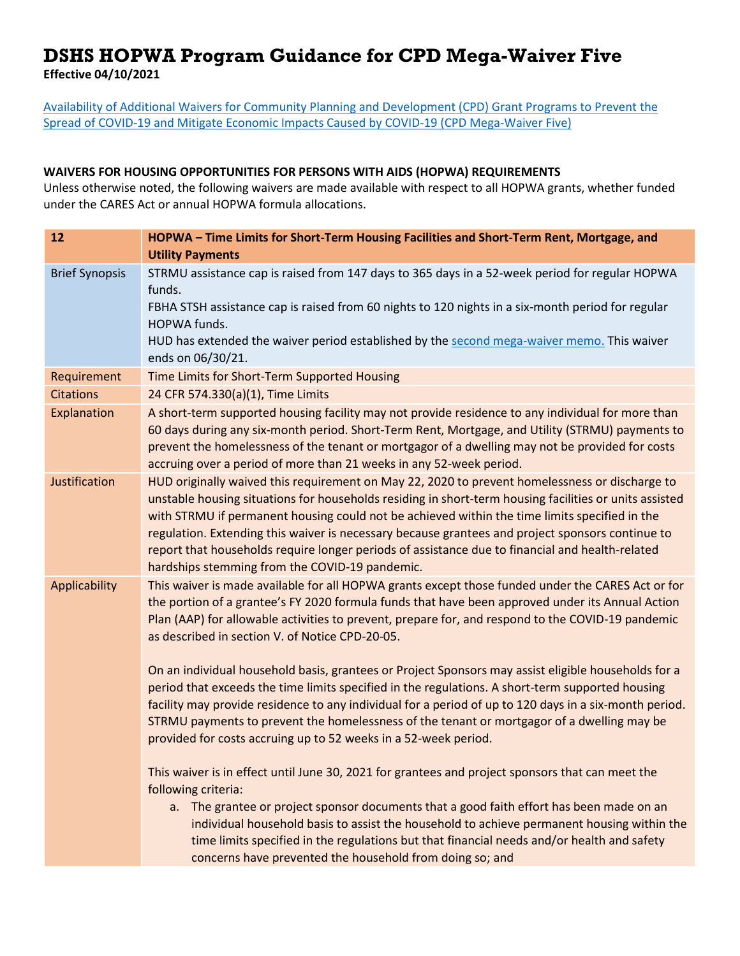## **DSHS HOPWA Program Guidance for CPD Mega-Waiver Five**

**Effective 04/10/2021**

[Availability of Additional Waivers for Community Planning and Development \(CPD\) Grant Programs to Prevent the](https://www.hud.gov/sites/dfiles/CPD/documents/DI-7782-MegaWaiver-5-for-CPD_v2-3-26-2021_JAJ_signed.pdf)  [Spread of COVID-19 and Mitigate Economic Impacts Caused by COVID-19 \(CPD Mega-Waiver Five\)](https://www.hud.gov/sites/dfiles/CPD/documents/DI-7782-MegaWaiver-5-for-CPD_v2-3-26-2021_JAJ_signed.pdf)

## **WAIVERS FOR HOUSING OPPORTUNITIES FOR PERSONS WITH AIDS (HOPWA) REQUIREMENTS**

Unless otherwise noted, the following waivers are made available with respect to all HOPWA grants, whether funded under the CARES Act or annual HOPWA formula allocations.

| 12                    | HOPWA - Time Limits for Short-Term Housing Facilities and Short-Term Rent, Mortgage, and<br><b>Utility Payments</b>                                                                                                                                                                                                                                                                                                                                                                                                                                                |
|-----------------------|--------------------------------------------------------------------------------------------------------------------------------------------------------------------------------------------------------------------------------------------------------------------------------------------------------------------------------------------------------------------------------------------------------------------------------------------------------------------------------------------------------------------------------------------------------------------|
| <b>Brief Synopsis</b> | STRMU assistance cap is raised from 147 days to 365 days in a 52-week period for regular HOPWA<br>funds.                                                                                                                                                                                                                                                                                                                                                                                                                                                           |
|                       | FBHA STSH assistance cap is raised from 60 nights to 120 nights in a six-month period for regular<br>HOPWA funds.                                                                                                                                                                                                                                                                                                                                                                                                                                                  |
|                       | HUD has extended the waiver period established by the second mega-waiver memo. This waiver<br>ends on 06/30/21.                                                                                                                                                                                                                                                                                                                                                                                                                                                    |
| Requirement           | Time Limits for Short-Term Supported Housing                                                                                                                                                                                                                                                                                                                                                                                                                                                                                                                       |
| <b>Citations</b>      | 24 CFR 574.330(a)(1), Time Limits                                                                                                                                                                                                                                                                                                                                                                                                                                                                                                                                  |
| Explanation           | A short-term supported housing facility may not provide residence to any individual for more than<br>60 days during any six-month period. Short-Term Rent, Mortgage, and Utility (STRMU) payments to<br>prevent the homelessness of the tenant or mortgagor of a dwelling may not be provided for costs<br>accruing over a period of more than 21 weeks in any 52-week period.                                                                                                                                                                                     |
| Justification         | HUD originally waived this requirement on May 22, 2020 to prevent homelessness or discharge to<br>unstable housing situations for households residing in short-term housing facilities or units assisted<br>with STRMU if permanent housing could not be achieved within the time limits specified in the<br>regulation. Extending this waiver is necessary because grantees and project sponsors continue to<br>report that households require longer periods of assistance due to financial and health-related<br>hardships stemming from the COVID-19 pandemic. |
| Applicability         | This waiver is made available for all HOPWA grants except those funded under the CARES Act or for<br>the portion of a grantee's FY 2020 formula funds that have been approved under its Annual Action<br>Plan (AAP) for allowable activities to prevent, prepare for, and respond to the COVID-19 pandemic<br>as described in section V. of Notice CPD-20-05.                                                                                                                                                                                                      |
|                       | On an individual household basis, grantees or Project Sponsors may assist eligible households for a<br>period that exceeds the time limits specified in the regulations. A short-term supported housing<br>facility may provide residence to any individual for a period of up to 120 days in a six-month period.<br>STRMU payments to prevent the homelessness of the tenant or mortgagor of a dwelling may be<br>provided for costs accruing up to 52 weeks in a 52-week period.                                                                                 |
|                       | This waiver is in effect until June 30, 2021 for grantees and project sponsors that can meet the<br>following criteria:                                                                                                                                                                                                                                                                                                                                                                                                                                            |
|                       | a. The grantee or project sponsor documents that a good faith effort has been made on an<br>individual household basis to assist the household to achieve permanent housing within the<br>time limits specified in the regulations but that financial needs and/or health and safety<br>concerns have prevented the household from doing so; and                                                                                                                                                                                                                   |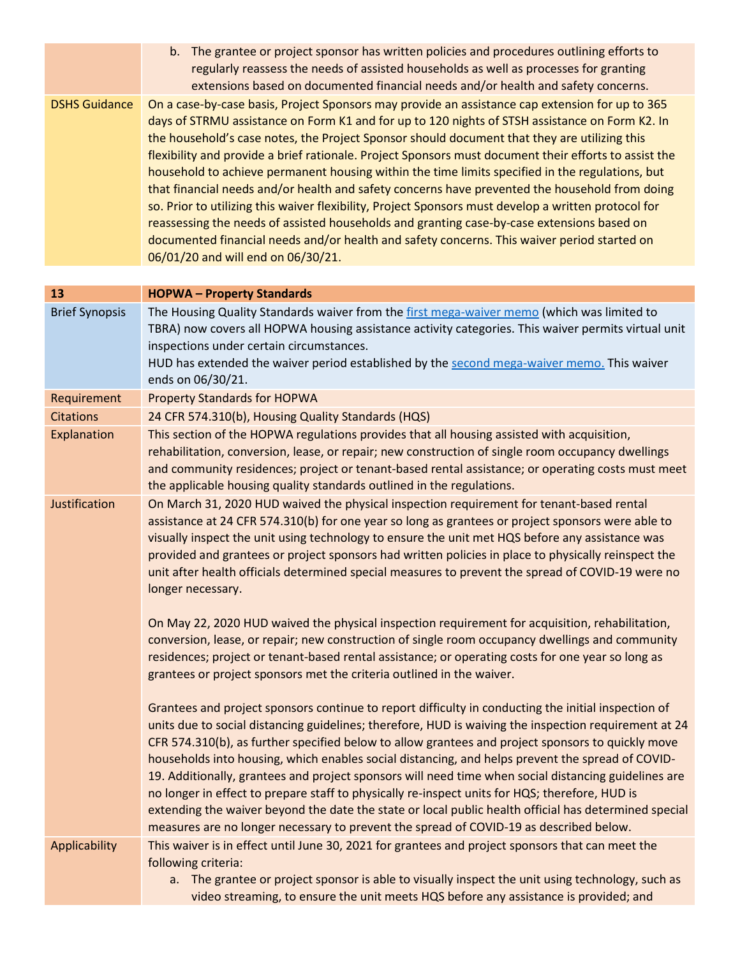|                      | b. The grantee or project sponsor has written policies and procedures outlining efforts to            |
|----------------------|-------------------------------------------------------------------------------------------------------|
|                      | regularly reassess the needs of assisted households as well as processes for granting                 |
|                      | extensions based on documented financial needs and/or health and safety concerns.                     |
| <b>DSHS Guidance</b> | On a case-by-case basis, Project Sponsors may provide an assistance cap extension for up to 365       |
|                      | days of STRMU assistance on Form K1 and for up to 120 nights of STSH assistance on Form K2. In        |
|                      | the household's case notes, the Project Sponsor should document that they are utilizing this          |
|                      | flexibility and provide a brief rationale. Project Sponsors must document their efforts to assist the |
|                      | household to achieve permanent housing within the time limits specified in the regulations, but       |
|                      | that financial needs and/or health and safety concerns have prevented the household from doing        |
|                      | so. Prior to utilizing this waiver flexibility, Project Sponsors must develop a written protocol for  |
|                      | reassessing the needs of assisted households and granting case-by-case extensions based on            |
|                      | documented financial needs and/or health and safety concerns. This waiver period started on           |
|                      | 06/01/20 and will end on 06/30/21.                                                                    |

| 13                    | <b>HOPWA-Property Standards</b>                                                                                                                                                                                                                                                                                                                                                                                                                                                                                                                                                                                                                                                                                                                                                                                                    |
|-----------------------|------------------------------------------------------------------------------------------------------------------------------------------------------------------------------------------------------------------------------------------------------------------------------------------------------------------------------------------------------------------------------------------------------------------------------------------------------------------------------------------------------------------------------------------------------------------------------------------------------------------------------------------------------------------------------------------------------------------------------------------------------------------------------------------------------------------------------------|
| <b>Brief Synopsis</b> | The Housing Quality Standards waiver from the first mega-waiver memo (which was limited to<br>TBRA) now covers all HOPWA housing assistance activity categories. This waiver permits virtual unit<br>inspections under certain circumstances.                                                                                                                                                                                                                                                                                                                                                                                                                                                                                                                                                                                      |
|                       | HUD has extended the waiver period established by the second mega-waiver memo. This waiver<br>ends on 06/30/21.                                                                                                                                                                                                                                                                                                                                                                                                                                                                                                                                                                                                                                                                                                                    |
| Requirement           | <b>Property Standards for HOPWA</b>                                                                                                                                                                                                                                                                                                                                                                                                                                                                                                                                                                                                                                                                                                                                                                                                |
| <b>Citations</b>      | 24 CFR 574.310(b), Housing Quality Standards (HQS)                                                                                                                                                                                                                                                                                                                                                                                                                                                                                                                                                                                                                                                                                                                                                                                 |
| Explanation           | This section of the HOPWA regulations provides that all housing assisted with acquisition,<br>rehabilitation, conversion, lease, or repair; new construction of single room occupancy dwellings<br>and community residences; project or tenant-based rental assistance; or operating costs must meet<br>the applicable housing quality standards outlined in the regulations.                                                                                                                                                                                                                                                                                                                                                                                                                                                      |
| Justification         | On March 31, 2020 HUD waived the physical inspection requirement for tenant-based rental<br>assistance at 24 CFR 574.310(b) for one year so long as grantees or project sponsors were able to<br>visually inspect the unit using technology to ensure the unit met HQS before any assistance was<br>provided and grantees or project sponsors had written policies in place to physically reinspect the<br>unit after health officials determined special measures to prevent the spread of COVID-19 were no<br>longer necessary.                                                                                                                                                                                                                                                                                                  |
|                       | On May 22, 2020 HUD waived the physical inspection requirement for acquisition, rehabilitation,<br>conversion, lease, or repair; new construction of single room occupancy dwellings and community<br>residences; project or tenant-based rental assistance; or operating costs for one year so long as<br>grantees or project sponsors met the criteria outlined in the waiver.                                                                                                                                                                                                                                                                                                                                                                                                                                                   |
|                       | Grantees and project sponsors continue to report difficulty in conducting the initial inspection of<br>units due to social distancing guidelines; therefore, HUD is waiving the inspection requirement at 24<br>CFR 574.310(b), as further specified below to allow grantees and project sponsors to quickly move<br>households into housing, which enables social distancing, and helps prevent the spread of COVID-<br>19. Additionally, grantees and project sponsors will need time when social distancing guidelines are<br>no longer in effect to prepare staff to physically re-inspect units for HQS; therefore, HUD is<br>extending the waiver beyond the date the state or local public health official has determined special<br>measures are no longer necessary to prevent the spread of COVID-19 as described below. |
| Applicability         | This waiver is in effect until June 30, 2021 for grantees and project sponsors that can meet the<br>following criteria:<br>a. The grantee or project sponsor is able to visually inspect the unit using technology, such as<br>video streaming, to ensure the unit meets HQS before any assistance is provided; and                                                                                                                                                                                                                                                                                                                                                                                                                                                                                                                |